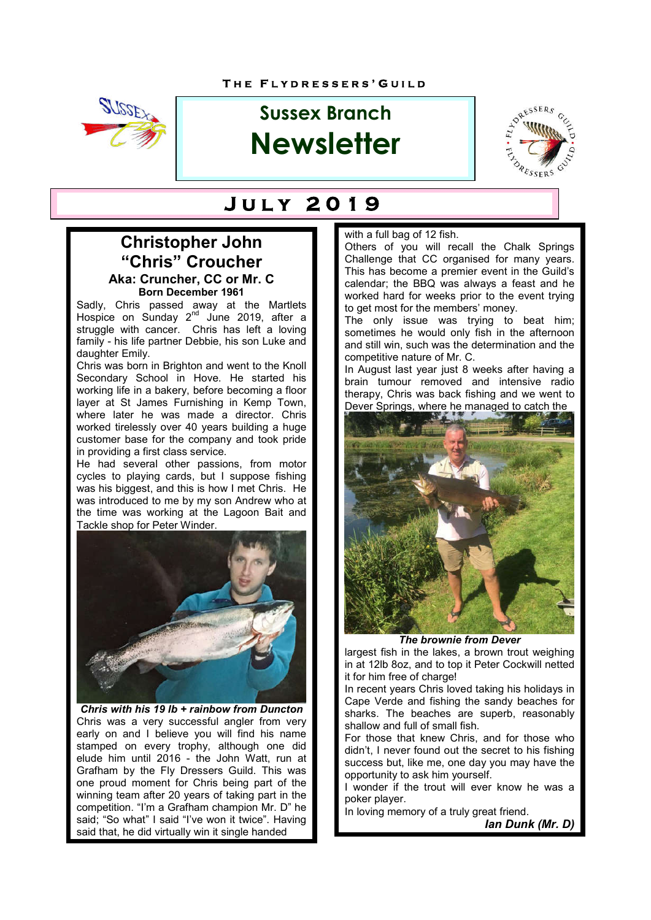

# **Sussex Branch Newsletter**



## **J u l y 2 0 1 9**

#### **Christopher John "Chris" Croucher Aka: Cruncher, CC or Mr. C Born December 1961**

Sadly, Chris passed away at the Martlets Hospice on Sunday 2<sup>nd</sup> June 2019, after a struggle with cancer. Chris has left a loving family - his life partner Debbie, his son Luke and daughter Emily.

Chris was born in Brighton and went to the Knoll Secondary School in Hove. He started his working life in a bakery, before becoming a floor layer at St James Furnishing in Kemp Town, where later he was made a director. Chris worked tirelessly over 40 years building a huge customer base for the company and took pride in providing a first class service.

He had several other passions, from motor cycles to playing cards, but I suppose fishing was his biggest, and this is how I met Chris. He was introduced to me by my son Andrew who at the time was working at the Lagoon Bait and Tackle shop for Peter Winder.



*Chris with his 19 lb + rainbow from Duncton* Chris was a very successful angler from very early on and I believe you will find his name stamped on every trophy, although one did elude him until 2016 - the John Watt, run at Grafham by the Fly Dressers Guild. This was one proud moment for Chris being part of the winning team after 20 years of taking part in the competition. "I'm a Grafham champion Mr. D" he said; "So what" I said "I've won it twice". Having said that, he did virtually win it single handed

#### with a full bag of 12 fish.

Others of you will recall the Chalk Springs Challenge that CC organised for many years. This has become a premier event in the Guild's calendar; the BBQ was always a feast and he worked hard for weeks prior to the event trying to get most for the members' money.

The only issue was trying to beat him; sometimes he would only fish in the afternoon and still win, such was the determination and the competitive nature of Mr. C.

In August last year just 8 weeks after having a brain tumour removed and intensive radio therapy, Chris was back fishing and we went to Dever Springs, where he managed to catch the



*The brownie from Dever*

largest fish in the lakes, a brown trout weighing in at 12lb 8oz, and to top it Peter Cockwill netted it for him free of charge!

In recent years Chris loved taking his holidays in Cape Verde and fishing the sandy beaches for sharks. The beaches are superb, reasonably shallow and full of small fish.

For those that knew Chris, and for those who didn't, I never found out the secret to his fishing success but, like me, one day you may have the opportunity to ask him yourself.

I wonder if the trout will ever know he was a poker player.

In loving memory of a truly great friend.

*Ian Dunk (Mr. D)*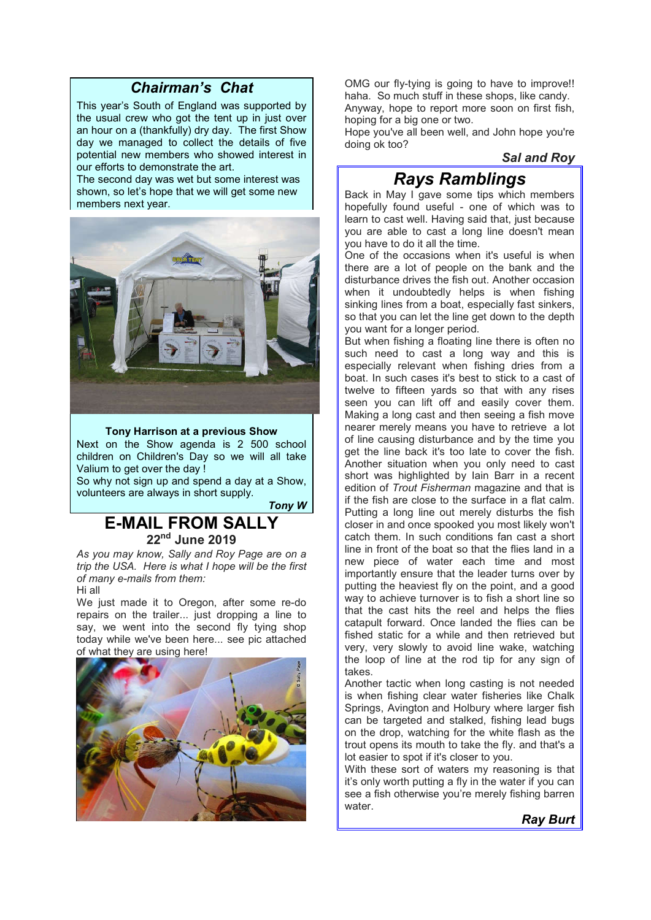#### *Chairman's Chat*

This year's South of England was supported by the usual crew who got the tent up in just over an hour on a (thankfully) dry day. The first Show day we managed to collect the details of five potential new members who showed interest in our efforts to demonstrate the art.

The second day was wet but some interest was shown, so let's hope that we will get some new members next year.



#### **Tony Harrison at a previous Show**

Next on the Show agenda is 2 500 school children on Children's Day so we will all take Valium to get over the day !

So why not sign up and spend a day at a Show, volunteers are always in short supply.

*Tony W*

### **E-MAIL FROM SAL 22nd June 2019**

*As you may know, Sally and Roy Page are on a trip the USA. Here is what I hope will be the first of many e-mails from them:* Hi all

We just made it to Oregon, after some re-do repairs on the trailer... just dropping a line to say, we went into the second fly tying shop today while we've been here... see pic attached of what they are using here!



OMG our fly-tying is going to have to improve!! haha. So much stuff in these shops, like candy. Anyway, hope to report more soon on first fish, hoping for a big one or two.

Hope you've all been well, and John hope you're doing ok too?

#### *Sal and Roy*

### *Rays Ramblings*

Back in May I gave some tips which members hopefully found useful - one of which was to learn to cast well. Having said that, just because you are able to cast a long line doesn't mean you have to do it all the time.

One of the occasions when it's useful is when there are a lot of people on the bank and the disturbance drives the fish out. Another occasion when it undoubtedly helps is when fishing sinking lines from a boat, especially fast sinkers, so that you can let the line get down to the depth you want for a longer period.

But when fishing a floating line there is often no such need to cast a long way and this is especially relevant when fishing dries from a boat. In such cases it's best to stick to a cast of twelve to fifteen yards so that with any rises seen you can lift off and easily cover them. Making a long cast and then seeing a fish move nearer merely means you have to retrieve a lot of line causing disturbance and by the time you get the line back it's too late to cover the fish. Another situation when you only need to cast short was highlighted by Iain Barr in a recent edition of *Trout Fisherman* magazine and that is if the fish are close to the surface in a flat calm. Putting a long line out merely disturbs the fish closer in and once spooked you most likely won't catch them. In such conditions fan cast a short line in front of the boat so that the flies land in a new piece of water each time and most importantly ensure that the leader turns over by putting the heaviest fly on the point, and a good way to achieve turnover is to fish a short line so that the cast hits the reel and helps the flies catapult forward. Once landed the flies can be fished static for a while and then retrieved but very, very slowly to avoid line wake, watching the loop of line at the rod tip for any sign of takes.

Another tactic when long casting is not needed is when fishing clear water fisheries like Chalk Springs, Avington and Holbury where larger fish can be targeted and stalked, fishing lead bugs on the drop, watching for the white flash as the trout opens its mouth to take the fly. and that's a lot easier to spot if it's closer to you.

With these sort of waters my reasoning is that it's only worth putting a fly in the water if you can see a fish otherwise you're merely fishing barren water.

*Ray Burt*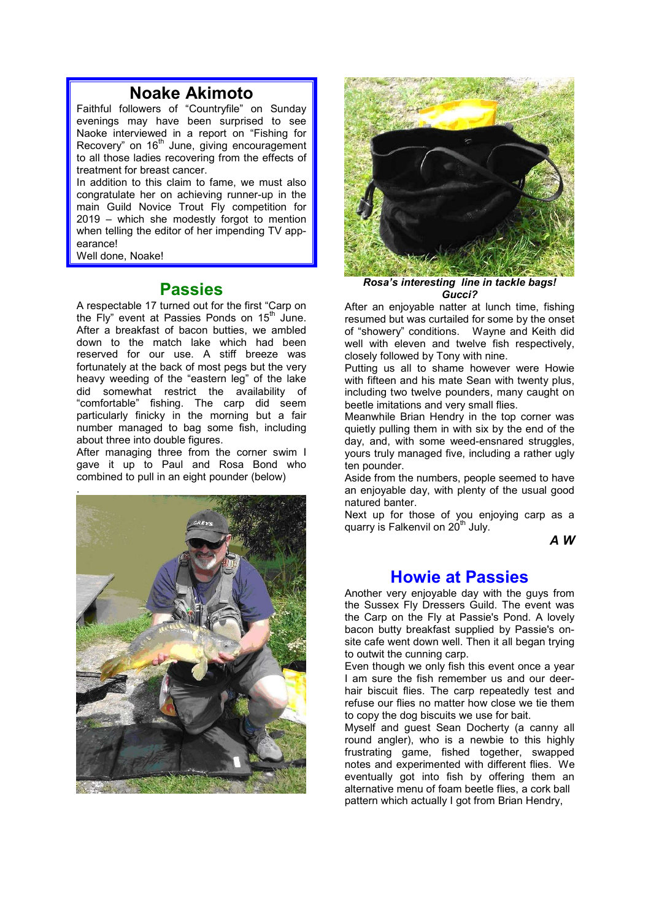### **Noake Akimoto**

Faithful followers of "Countryfile" on Sunday evenings may have been surprised to see Naoke interviewed in a report on "Fishing for Recovery" on 16<sup>th</sup> June, giving encouragement to all those ladies recovering from the effects of treatment for breast cancer.

In addition to this claim to fame, we must also congratulate her on achieving runner-up in the main Guild Novice Trout Fly competition for 2019 – which she modestly forgot to mention when telling the editor of her impending TV appearance!

Well done, Noake!

#### **Passies**

A respectable 17 turned out for the first "Carp on the Fly" event at Passies Ponds on  $15<sup>th</sup>$  June. After a breakfast of bacon butties, we ambled down to the match lake which had been reserved for our use. A stiff breeze was fortunately at the back of most pegs but the very heavy weeding of the "eastern leg" of the lake did somewhat restrict the availability of "comfortable" fishing. The carp did seem particularly finicky in the morning but a fair number managed to bag some fish, including about three into double figures.

After managing three from the corner swim I gave it up to Paul and Rosa Bond who combined to pull in an eight pounder (below)





*Rosa's interesting line in tackle bags! Gucci?*

After an enjoyable natter at lunch time, fishing resumed but was curtailed for some by the onset of "showery" conditions. Wayne and Keith did well with eleven and twelve fish respectively, closely followed by Tony with nine.

Putting us all to shame however were Howie with fifteen and his mate Sean with twenty plus, including two twelve pounders, many caught on beetle imitations and very small flies.

Meanwhile Brian Hendry in the top corner was quietly pulling them in with six by the end of the day, and, with some weed-ensnared struggles. yours truly managed five, including a rather ugly ten pounder.

Aside from the numbers, people seemed to have an enjoyable day, with plenty of the usual good natured banter.

Next up for those of you enjoying carp as a quarry is Falkenvil on  $20<sup>th</sup>$  July.

*A W*

#### **Howie at Passies**

Another very enjoyable day with the guys from the Sussex Fly Dressers Guild. The event was the Carp on the Fly at Passie's Pond. A lovely bacon butty breakfast supplied by Passie's onsite cafe went down well. Then it all began trying to outwit the cunning carp.

Even though we only fish this event once a year I am sure the fish remember us and our deerhair biscuit flies. The carp repeatedly test and refuse our flies no matter how close we tie them to copy the dog biscuits we use for bait.

Myself and guest Sean Docherty (a canny all round angler), who is a newbie to this highly frustrating game, fished together, swapped notes and experimented with different flies. We eventually got into fish by offering them an alternative menu of foam beetle flies, a cork ball pattern which actually I got from Brian Hendry,